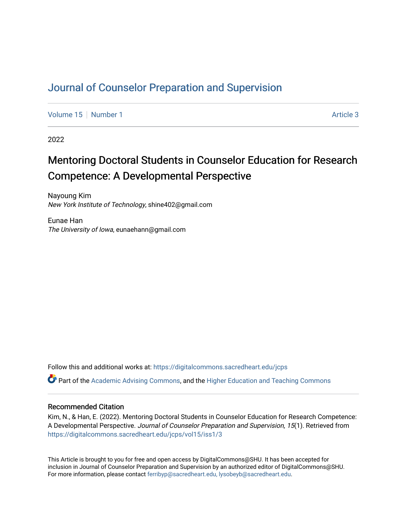# [Journal of Counselor Preparation and Supervision](https://digitalcommons.sacredheart.edu/jcps)

[Volume 15](https://digitalcommons.sacredheart.edu/jcps/vol15) [Number 1](https://digitalcommons.sacredheart.edu/jcps/vol15/iss1) Article 3

2022

# Mentoring Doctoral Students in Counselor Education for Research Competence: A Developmental Perspective

Nayoung Kim New York Institute of Technology, shine402@gmail.com

Eunae Han The University of Iowa, eunaehann@gmail.com

Follow this and additional works at: [https://digitalcommons.sacredheart.edu/jcps](https://digitalcommons.sacredheart.edu/jcps?utm_source=digitalcommons.sacredheart.edu%2Fjcps%2Fvol15%2Fiss1%2F3&utm_medium=PDF&utm_campaign=PDFCoverPages) 

 $\bullet$  Part of the [Academic Advising Commons](http://network.bepress.com/hgg/discipline/1403?utm_source=digitalcommons.sacredheart.edu%2Fjcps%2Fvol15%2Fiss1%2F3&utm_medium=PDF&utm_campaign=PDFCoverPages), and the Higher Education and Teaching Commons

#### Recommended Citation

Kim, N., & Han, E. (2022). Mentoring Doctoral Students in Counselor Education for Research Competence: A Developmental Perspective. Journal of Counselor Preparation and Supervision, 15(1). Retrieved from [https://digitalcommons.sacredheart.edu/jcps/vol15/iss1/3](https://digitalcommons.sacredheart.edu/jcps/vol15/iss1/3?utm_source=digitalcommons.sacredheart.edu%2Fjcps%2Fvol15%2Fiss1%2F3&utm_medium=PDF&utm_campaign=PDFCoverPages)

This Article is brought to you for free and open access by DigitalCommons@SHU. It has been accepted for inclusion in Journal of Counselor Preparation and Supervision by an authorized editor of DigitalCommons@SHU. For more information, please contact [ferribyp@sacredheart.edu, lysobeyb@sacredheart.edu.](mailto:ferribyp@sacredheart.edu,%20lysobeyb@sacredheart.edu)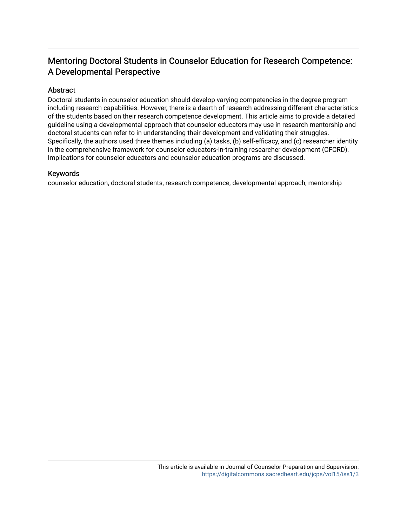# Mentoring Doctoral Students in Counselor Education for Research Competence: A Developmental Perspective

# Abstract

Doctoral students in counselor education should develop varying competencies in the degree program including research capabilities. However, there is a dearth of research addressing different characteristics of the students based on their research competence development. This article aims to provide a detailed guideline using a developmental approach that counselor educators may use in research mentorship and doctoral students can refer to in understanding their development and validating their struggles. Specifically, the authors used three themes including (a) tasks, (b) self-efficacy, and (c) researcher identity in the comprehensive framework for counselor educators-in-training researcher development (CFCRD). Implications for counselor educators and counselor education programs are discussed.

#### Keywords

counselor education, doctoral students, research competence, developmental approach, mentorship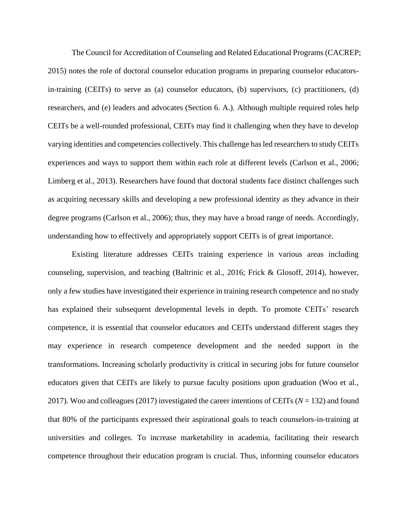The Council for Accreditation of Counseling and Related Educational Programs (CACREP; 2015) notes the role of doctoral counselor education programs in preparing counselor educatorsin-training (CEITs) to serve as (a) counselor educators, (b) supervisors, (c) practitioners, (d) researchers, and (e) leaders and advocates (Section 6. A.). Although multiple required roles help CEITs be a well-rounded professional, CEITs may find it challenging when they have to develop varying identities and competencies collectively. This challenge has led researchers to study CEITs experiences and ways to support them within each role at different levels (Carlson et al., 2006; Limberg et al., 2013). Researchers have found that doctoral students face distinct challenges such as acquiring necessary skills and developing a new professional identity as they advance in their degree programs (Carlson et al., 2006); thus, they may have a broad range of needs. Accordingly, understanding how to effectively and appropriately support CEITs is of great importance.

Existing literature addresses CEITs training experience in various areas including counseling, supervision, and teaching (Baltrinic et al., 2016; Frick & Glosoff, 2014), however, only a few studies have investigated their experience in training research competence and no study has explained their subsequent developmental levels in depth. To promote CEITs' research competence, it is essential that counselor educators and CEITs understand different stages they may experience in research competence development and the needed support in the transformations. Increasing scholarly productivity is critical in securing jobs for future counselor educators given that CEITs are likely to pursue faculty positions upon graduation (Woo et al., 2017). Woo and colleagues (2017) investigated the career intentions of CEITs (*N* = 132) and found that 80% of the participants expressed their aspirational goals to teach counselors-in-training at universities and colleges. To increase marketability in academia, facilitating their research competence throughout their education program is crucial. Thus, informing counselor educators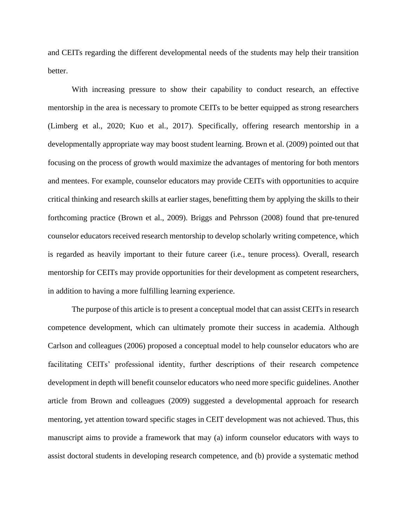and CEITs regarding the different developmental needs of the students may help their transition better.

With increasing pressure to show their capability to conduct research, an effective mentorship in the area is necessary to promote CEITs to be better equipped as strong researchers (Limberg et al., 2020; Kuo et al., 2017). Specifically, offering research mentorship in a developmentally appropriate way may boost student learning. Brown et al. (2009) pointed out that focusing on the process of growth would maximize the advantages of mentoring for both mentors and mentees. For example, counselor educators may provide CEITs with opportunities to acquire critical thinking and research skills at earlier stages, benefitting them by applying the skills to their forthcoming practice (Brown et al., 2009). Briggs and Pehrsson (2008) found that pre-tenured counselor educators received research mentorship to develop scholarly writing competence, which is regarded as heavily important to their future career (i.e., tenure process). Overall, research mentorship for CEITs may provide opportunities for their development as competent researchers, in addition to having a more fulfilling learning experience.

The purpose of this article is to present a conceptual model that can assist CEITs in research competence development, which can ultimately promote their success in academia. Although Carlson and colleagues (2006) proposed a conceptual model to help counselor educators who are facilitating CEITs' professional identity, further descriptions of their research competence development in depth will benefit counselor educators who need more specific guidelines. Another article from Brown and colleagues (2009) suggested a developmental approach for research mentoring, yet attention toward specific stages in CEIT development was not achieved. Thus, this manuscript aims to provide a framework that may (a) inform counselor educators with ways to assist doctoral students in developing research competence, and (b) provide a systematic method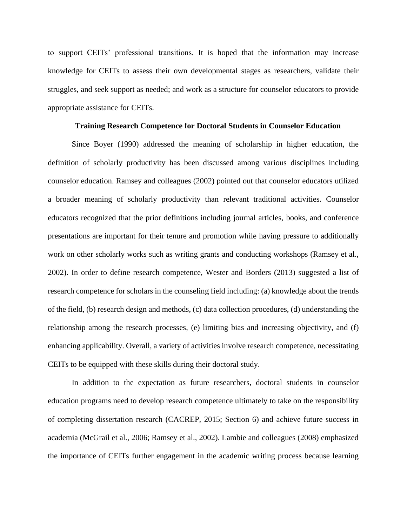to support CEITs' professional transitions. It is hoped that the information may increase knowledge for CEITs to assess their own developmental stages as researchers, validate their struggles, and seek support as needed; and work as a structure for counselor educators to provide appropriate assistance for CEITs.

#### **Training Research Competence for Doctoral Students in Counselor Education**

Since Boyer (1990) addressed the meaning of scholarship in higher education, the definition of scholarly productivity has been discussed among various disciplines including counselor education. Ramsey and colleagues (2002) pointed out that counselor educators utilized a broader meaning of scholarly productivity than relevant traditional activities. Counselor educators recognized that the prior definitions including journal articles, books, and conference presentations are important for their tenure and promotion while having pressure to additionally work on other scholarly works such as writing grants and conducting workshops (Ramsey et al., 2002). In order to define research competence, Wester and Borders (2013) suggested a list of research competence for scholars in the counseling field including: (a) knowledge about the trends of the field, (b) research design and methods, (c) data collection procedures, (d) understanding the relationship among the research processes, (e) limiting bias and increasing objectivity, and (f) enhancing applicability. Overall, a variety of activities involve research competence, necessitating CEITs to be equipped with these skills during their doctoral study.

In addition to the expectation as future researchers, doctoral students in counselor education programs need to develop research competence ultimately to take on the responsibility of completing dissertation research (CACREP, 2015; Section 6) and achieve future success in academia (McGrail et al., 2006; Ramsey et al., 2002). Lambie and colleagues (2008) emphasized the importance of CEITs further engagement in the academic writing process because learning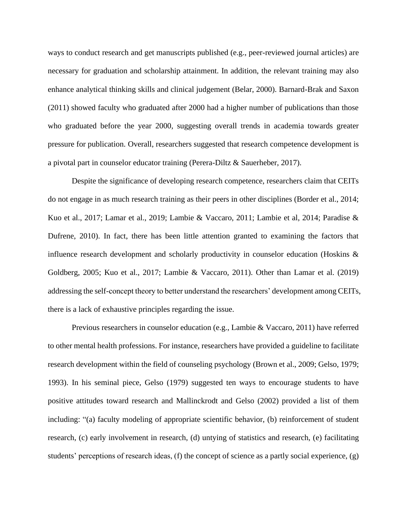ways to conduct research and get manuscripts published (e.g., peer-reviewed journal articles) are necessary for graduation and scholarship attainment. In addition, the relevant training may also enhance analytical thinking skills and clinical judgement (Belar, 2000). Barnard-Brak and Saxon (2011) showed faculty who graduated after 2000 had a higher number of publications than those who graduated before the year 2000, suggesting overall trends in academia towards greater pressure for publication. Overall, researchers suggested that research competence development is a pivotal part in counselor educator training (Perera-Diltz & Sauerheber, 2017).

 Despite the significance of developing research competence, researchers claim that CEITs do not engage in as much research training as their peers in other disciplines (Border et al., 2014; Kuo et al., 2017; Lamar et al., 2019; Lambie & Vaccaro, 2011; Lambie et al, 2014; Paradise & Dufrene, 2010). In fact, there has been little attention granted to examining the factors that influence research development and scholarly productivity in counselor education (Hoskins & Goldberg, 2005; Kuo et al., 2017; Lambie & Vaccaro, 2011). Other than Lamar et al. (2019) addressing the self-concept theory to better understand the researchers' development among CEITs, there is a lack of exhaustive principles regarding the issue.

Previous researchers in counselor education (e.g., Lambie & Vaccaro, 2011) have referred to other mental health professions. For instance, researchers have provided a guideline to facilitate research development within the field of counseling psychology (Brown et al., 2009; Gelso, 1979; 1993). In his seminal piece, Gelso (1979) suggested ten ways to encourage students to have positive attitudes toward research and Mallinckrodt and Gelso (2002) provided a list of them including: "(a) faculty modeling of appropriate scientific behavior, (b) reinforcement of student research, (c) early involvement in research, (d) untying of statistics and research, (e) facilitating students' perceptions of research ideas, (f) the concept of science as a partly social experience, (g)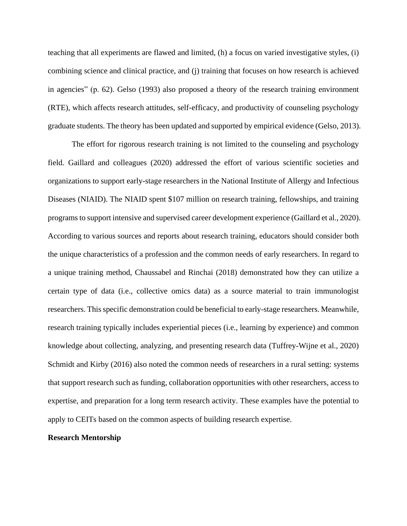teaching that all experiments are flawed and limited, (h) a focus on varied investigative styles, (i) combining science and clinical practice, and (j) training that focuses on how research is achieved in agencies" (p. 62). Gelso (1993) also proposed a theory of the research training environment (RTE), which affects research attitudes, self-efficacy, and productivity of counseling psychology graduate students. The theory has been updated and supported by empirical evidence (Gelso, 2013).

The effort for rigorous research training is not limited to the counseling and psychology field. Gaillard and colleagues (2020) addressed the effort of various scientific societies and organizations to support early-stage researchers in the National Institute of Allergy and Infectious Diseases (NIAID). The NIAID spent \$107 million on research training, fellowships, and training programs to support intensive and supervised career development experience (Gaillard et al., 2020). According to various sources and reports about research training, educators should consider both the unique characteristics of a profession and the common needs of early researchers. In regard to a unique training method, Chaussabel and Rinchai (2018) demonstrated how they can utilize a certain type of data (i.e., collective omics data) as a source material to train immunologist researchers. This specific demonstration could be beneficial to early-stage researchers. Meanwhile, research training typically includes experiential pieces (i.e., learning by experience) and common knowledge about collecting, analyzing, and presenting research data (Tuffrey-Wijne et al., 2020) Schmidt and Kirby (2016) also noted the common needs of researchers in a rural setting: systems that support research such as funding, collaboration opportunities with other researchers, access to expertise, and preparation for a long term research activity. These examples have the potential to apply to CEITs based on the common aspects of building research expertise.

#### **Research Mentorship**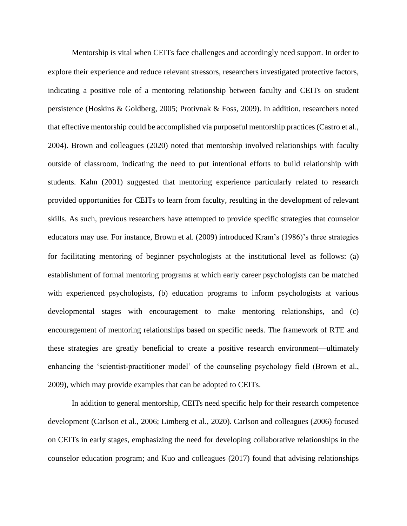Mentorship is vital when CEITs face challenges and accordingly need support. In order to explore their experience and reduce relevant stressors, researchers investigated protective factors, indicating a positive role of a mentoring relationship between faculty and CEITs on student persistence (Hoskins & Goldberg, 2005; Protivnak & Foss, 2009). In addition, researchers noted that effective mentorship could be accomplished via purposeful mentorship practices (Castro et al., 2004). Brown and colleagues (2020) noted that mentorship involved relationships with faculty outside of classroom, indicating the need to put intentional efforts to build relationship with students. Kahn (2001) suggested that mentoring experience particularly related to research provided opportunities for CEITs to learn from faculty, resulting in the development of relevant skills. As such, previous researchers have attempted to provide specific strategies that counselor educators may use. For instance, Brown et al. (2009) introduced Kram's (1986)'s three strategies for facilitating mentoring of beginner psychologists at the institutional level as follows: (a) establishment of formal mentoring programs at which early career psychologists can be matched with experienced psychologists, (b) education programs to inform psychologists at various developmental stages with encouragement to make mentoring relationships, and (c) encouragement of mentoring relationships based on specific needs. The framework of RTE and these strategies are greatly beneficial to create a positive research environment—ultimately enhancing the 'scientist-practitioner model' of the counseling psychology field (Brown et al., 2009), which may provide examples that can be adopted to CEITs.

In addition to general mentorship, CEITs need specific help for their research competence development (Carlson et al., 2006; Limberg et al., 2020). Carlson and colleagues (2006) focused on CEITs in early stages, emphasizing the need for developing collaborative relationships in the counselor education program; and Kuo and colleagues (2017) found that advising relationships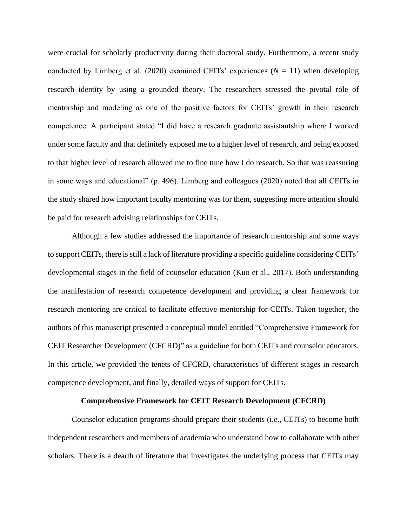were crucial for scholarly productivity during their doctoral study. Furthermore, a recent study conducted by Limberg et al. (2020) examined CEITs' experiences  $(N = 11)$  when developing research identity by using a grounded theory. The researchers stressed the pivotal role of mentorship and modeling as one of the positive factors for CEITs' growth in their research competence. A participant stated "I did have a research graduate assistantship where I worked under some faculty and that definitely exposed me to a higher level of research, and being exposed to that higher level of research allowed me to fine tune how I do research. So that was reassuring in some ways and educational" (p. 496). Limberg and colleagues (2020) noted that all CEITs in the study shared how important faculty mentoring was for them, suggesting more attention should be paid for research advising relationships for CEITs.

Although a few studies addressed the importance of research mentorship and some ways to support CEITs, there is still a lack of literature providing a specific guideline considering CEITs' developmental stages in the field of counselor education (Kuo et al., 2017). Both understanding the manifestation of research competence development and providing a clear framework for research mentoring are critical to facilitate effective mentorship for CEITs. Taken together, the authors of this manuscript presented a conceptual model entitled "Comprehensive Framework for CEIT Researcher Development (CFCRD)" as a guideline for both CEITs and counselor educators. In this article, we provided the tenets of CFCRD, characteristics of different stages in research competence development, and finally, detailed ways of support for CEITs.

#### **Comprehensive Framework for CEIT Research Development (CFCRD)**

Counselor education programs should prepare their students (i.e., CEITs) to become both independent researchers and members of academia who understand how to collaborate with other scholars. There is a dearth of literature that investigates the underlying process that CEITs may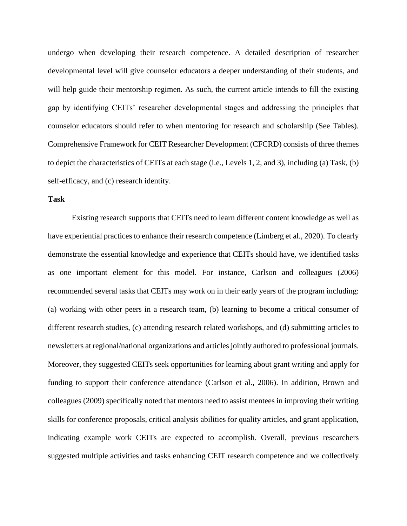undergo when developing their research competence. A detailed description of researcher developmental level will give counselor educators a deeper understanding of their students, and will help guide their mentorship regimen. As such, the current article intends to fill the existing gap by identifying CEITs' researcher developmental stages and addressing the principles that counselor educators should refer to when mentoring for research and scholarship (See Tables). Comprehensive Framework for CEIT Researcher Development (CFCRD) consists of three themes to depict the characteristics of CEITs at each stage (i.e., Levels 1, 2, and 3), including (a) Task, (b) self-efficacy, and (c) research identity.

#### **Task**

Existing research supports that CEITs need to learn different content knowledge as well as have experiential practices to enhance their research competence (Limberg et al., 2020). To clearly demonstrate the essential knowledge and experience that CEITs should have, we identified tasks as one important element for this model. For instance, Carlson and colleagues (2006) recommended several tasks that CEITs may work on in their early years of the program including: (a) working with other peers in a research team, (b) learning to become a critical consumer of different research studies, (c) attending research related workshops, and (d) submitting articles to newsletters at regional/national organizations and articles jointly authored to professional journals. Moreover, they suggested CEITs seek opportunities for learning about grant writing and apply for funding to support their conference attendance (Carlson et al., 2006). In addition, Brown and colleagues (2009) specifically noted that mentors need to assist mentees in improving their writing skills for conference proposals, critical analysis abilities for quality articles, and grant application, indicating example work CEITs are expected to accomplish. Overall, previous researchers suggested multiple activities and tasks enhancing CEIT research competence and we collectively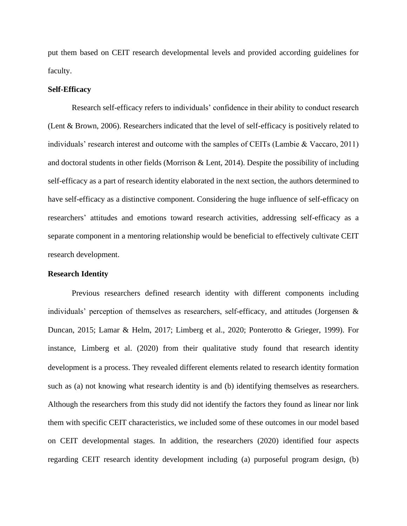put them based on CEIT research developmental levels and provided according guidelines for faculty.

#### **Self-Efficacy**

Research self-efficacy refers to individuals' confidence in their ability to conduct research (Lent & Brown, 2006). Researchers indicated that the level of self-efficacy is positively related to individuals' research interest and outcome with the samples of CEITs (Lambie & Vaccaro, 2011) and doctoral students in other fields (Morrison & Lent, 2014). Despite the possibility of including self-efficacy as a part of research identity elaborated in the next section, the authors determined to have self-efficacy as a distinctive component. Considering the huge influence of self-efficacy on researchers' attitudes and emotions toward research activities, addressing self-efficacy as a separate component in a mentoring relationship would be beneficial to effectively cultivate CEIT research development.

#### **Research Identity**

Previous researchers defined research identity with different components including individuals' perception of themselves as researchers, self-efficacy, and attitudes (Jorgensen & Duncan, 2015; Lamar & Helm, 2017; Limberg et al., 2020; Ponterotto & Grieger, 1999). For instance, Limberg et al. (2020) from their qualitative study found that research identity development is a process. They revealed different elements related to research identity formation such as (a) not knowing what research identity is and (b) identifying themselves as researchers. Although the researchers from this study did not identify the factors they found as linear nor link them with specific CEIT characteristics, we included some of these outcomes in our model based on CEIT developmental stages. In addition, the researchers (2020) identified four aspects regarding CEIT research identity development including (a) purposeful program design, (b)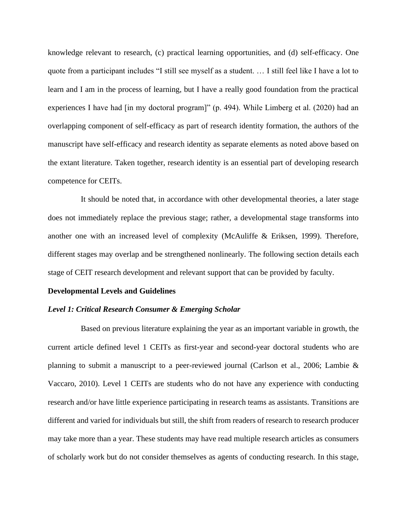knowledge relevant to research, (c) practical learning opportunities, and (d) self-efficacy. One quote from a participant includes "I still see myself as a student. … I still feel like I have a lot to learn and I am in the process of learning, but I have a really good foundation from the practical experiences I have had [in my doctoral program]" (p. 494). While Limberg et al. (2020) had an overlapping component of self-efficacy as part of research identity formation, the authors of the manuscript have self-efficacy and research identity as separate elements as noted above based on the extant literature. Taken together, research identity is an essential part of developing research competence for CEITs.

 It should be noted that, in accordance with other developmental theories, a later stage does not immediately replace the previous stage; rather, a developmental stage transforms into another one with an increased level of complexity (McAuliffe & Eriksen, 1999). Therefore, different stages may overlap and be strengthened nonlinearly. The following section details each stage of CEIT research development and relevant support that can be provided by faculty.

## **Developmental Levels and Guidelines**

#### *Level 1: Critical Research Consumer & Emerging Scholar*

 Based on previous literature explaining the year as an important variable in growth, the current article defined level 1 CEITs as first-year and second-year doctoral students who are planning to submit a manuscript to a peer-reviewed journal (Carlson et al., 2006; Lambie & Vaccaro, 2010). Level 1 CEITs are students who do not have any experience with conducting research and/or have little experience participating in research teams as assistants. Transitions are different and varied for individuals but still, the shift from readers of research to research producer may take more than a year. These students may have read multiple research articles as consumers of scholarly work but do not consider themselves as agents of conducting research. In this stage,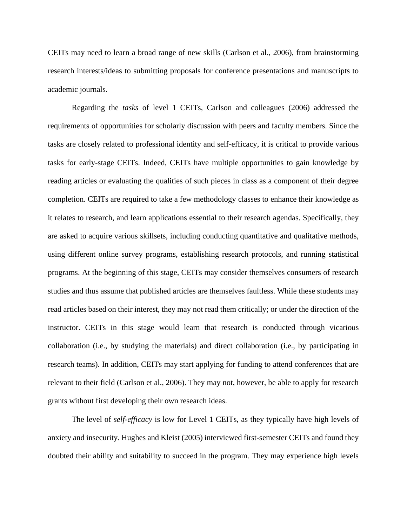CEITs may need to learn a broad range of new skills (Carlson et al., 2006), from brainstorming research interests/ideas to submitting proposals for conference presentations and manuscripts to academic journals.

Regarding the *tasks* of level 1 CEITs, Carlson and colleagues (2006) addressed the requirements of opportunities for scholarly discussion with peers and faculty members. Since the tasks are closely related to professional identity and self-efficacy, it is critical to provide various tasks for early-stage CEITs. Indeed, CEITs have multiple opportunities to gain knowledge by reading articles or evaluating the qualities of such pieces in class as a component of their degree completion. CEITs are required to take a few methodology classes to enhance their knowledge as it relates to research, and learn applications essential to their research agendas. Specifically, they are asked to acquire various skillsets, including conducting quantitative and qualitative methods, using different online survey programs, establishing research protocols, and running statistical programs. At the beginning of this stage, CEITs may consider themselves consumers of research studies and thus assume that published articles are themselves faultless. While these students may read articles based on their interest, they may not read them critically; or under the direction of the instructor. CEITs in this stage would learn that research is conducted through vicarious collaboration (i.e., by studying the materials) and direct collaboration (i.e., by participating in research teams). In addition, CEITs may start applying for funding to attend conferences that are relevant to their field (Carlson et al., 2006). They may not, however, be able to apply for research grants without first developing their own research ideas.

The level of *self-efficacy* is low for Level 1 CEITs, as they typically have high levels of anxiety and insecurity. Hughes and Kleist (2005) interviewed first-semester CEITs and found they doubted their ability and suitability to succeed in the program. They may experience high levels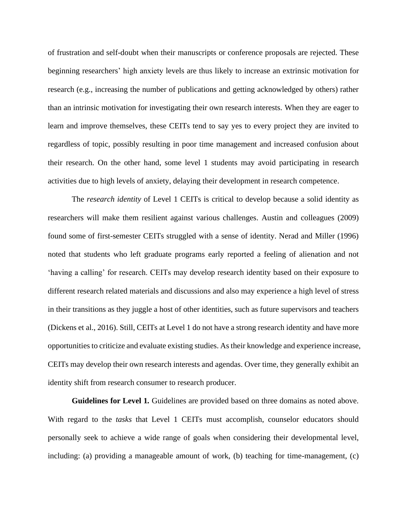of frustration and self-doubt when their manuscripts or conference proposals are rejected. These beginning researchers' high anxiety levels are thus likely to increase an extrinsic motivation for research (e.g., increasing the number of publications and getting acknowledged by others) rather than an intrinsic motivation for investigating their own research interests. When they are eager to learn and improve themselves, these CEITs tend to say yes to every project they are invited to regardless of topic, possibly resulting in poor time management and increased confusion about their research. On the other hand, some level 1 students may avoid participating in research activities due to high levels of anxiety, delaying their development in research competence.

The *research identity* of Level 1 CEITs is critical to develop because a solid identity as researchers will make them resilient against various challenges. Austin and colleagues (2009) found some of first-semester CEITs struggled with a sense of identity. Nerad and Miller (1996) noted that students who left graduate programs early reported a feeling of alienation and not 'having a calling' for research. CEITs may develop research identity based on their exposure to different research related materials and discussions and also may experience a high level of stress in their transitions as they juggle a host of other identities, such as future supervisors and teachers (Dickens et al., 2016). Still, CEITs at Level 1 do not have a strong research identity and have more opportunities to criticize and evaluate existing studies. As their knowledge and experience increase, CEITs may develop their own research interests and agendas. Over time, they generally exhibit an identity shift from research consumer to research producer.

**Guidelines for Level 1***.* Guidelines are provided based on three domains as noted above. With regard to the *tasks* that Level 1 CEITs must accomplish, counselor educators should personally seek to achieve a wide range of goals when considering their developmental level, including: (a) providing a manageable amount of work, (b) teaching for time-management, (c)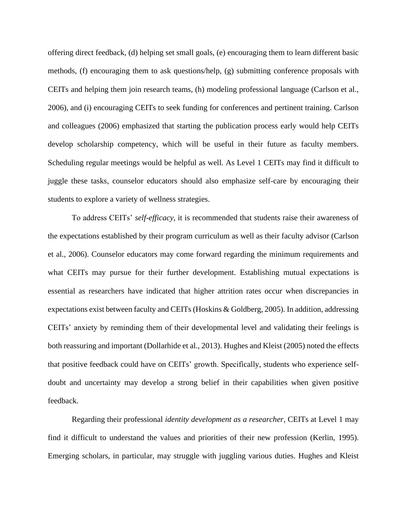offering direct feedback, (d) helping set small goals, (e) encouraging them to learn different basic methods, (f) encouraging them to ask questions/help, (g) submitting conference proposals with CEITs and helping them join research teams, (h) modeling professional language (Carlson et al., 2006), and (i) encouraging CEITs to seek funding for conferences and pertinent training. Carlson and colleagues (2006) emphasized that starting the publication process early would help CEITs develop scholarship competency, which will be useful in their future as faculty members. Scheduling regular meetings would be helpful as well. As Level 1 CEITs may find it difficult to juggle these tasks, counselor educators should also emphasize self-care by encouraging their students to explore a variety of wellness strategies.

To address CEITs' *self-efficacy*, it is recommended that students raise their awareness of the expectations established by their program curriculum as well as their faculty advisor (Carlson et al., 2006). Counselor educators may come forward regarding the minimum requirements and what CEITs may pursue for their further development. Establishing mutual expectations is essential as researchers have indicated that higher attrition rates occur when discrepancies in expectations exist between faculty and CEITs (Hoskins & Goldberg, 2005). In addition, addressing CEITs' anxiety by reminding them of their developmental level and validating their feelings is both reassuring and important (Dollarhide et al., 2013). Hughes and Kleist (2005) noted the effects that positive feedback could have on CEITs' growth. Specifically, students who experience selfdoubt and uncertainty may develop a strong belief in their capabilities when given positive feedback.

Regarding their professional *identity development as a researcher*, CEITs at Level 1 may find it difficult to understand the values and priorities of their new profession (Kerlin, 1995). Emerging scholars, in particular, may struggle with juggling various duties. Hughes and Kleist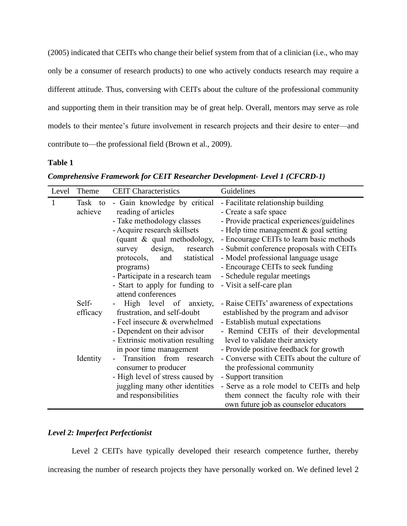(2005) indicated that CEITs who change their belief system from that of a clinician (i.e., who may only be a consumer of research products) to one who actively conducts research may require a different attitude. Thus, conversing with CEITs about the culture of the professional community and supporting them in their transition may be of great help. Overall, mentors may serve as role models to their mentee's future involvement in research projects and their desire to enter—and contribute to—the professional field (Brown et al., 2009).

# **Table 1**

| Comprehensive Framework for CEIT Researcher Development- Level 1 (CFCRD-1) |  |
|----------------------------------------------------------------------------|--|
|                                                                            |  |

| Level | Theme    | <b>CEIT Characteristics</b>      | Guidelines                                 |
|-------|----------|----------------------------------|--------------------------------------------|
|       | Task to  | - Gain knowledge by critical     | - Facilitate relationship building         |
|       | achieve  | reading of articles              | - Create a safe space                      |
|       |          | - Take methodology classes       | - Provide practical experiences/guidelines |
|       |          | - Acquire research skillsets     | - Help time management $&$ goal setting    |
|       |          | (quant & qual methodology,       | - Encourage CEITs to learn basic methods   |
|       |          | design,<br>research<br>survey    | - Submit conference proposals with CEITs   |
|       |          | statistical<br>protocols,<br>and | - Model professional language usage        |
|       |          | programs)                        | - Encourage CEITs to seek funding          |
|       |          | - Participate in a research team | - Schedule regular meetings                |
|       |          | - Start to apply for funding to  | - Visit a self-care plan                   |
|       |          | attend conferences               |                                            |
|       | Self-    | High level of anxiety,           | - Raise CEITs' awareness of expectations   |
|       | efficacy | frustration, and self-doubt      | established by the program and advisor     |
|       |          | - Feel insecure & overwhelmed    | - Establish mutual expectations            |
|       |          | - Dependent on their advisor     | - Remind CEITs of their developmental      |
|       |          | - Extrinsic motivation resulting | level to validate their anxiety            |
|       |          | in poor time management          | - Provide positive feedback for growth     |
|       | Identity | Transition from research         | - Converse with CEITs about the culture of |
|       |          | consumer to producer             | the professional community                 |
|       |          | - High level of stress caused by | - Support transition                       |
|       |          | juggling many other identities   | - Serve as a role model to CEITs and help  |
|       |          | and responsibilities             | them connect the faculty role with their   |
|       |          |                                  | own future job as counselor educators      |

## *Level 2: Imperfect Perfectionist*

Level 2 CEITs have typically developed their research competence further, thereby increasing the number of research projects they have personally worked on. We defined level 2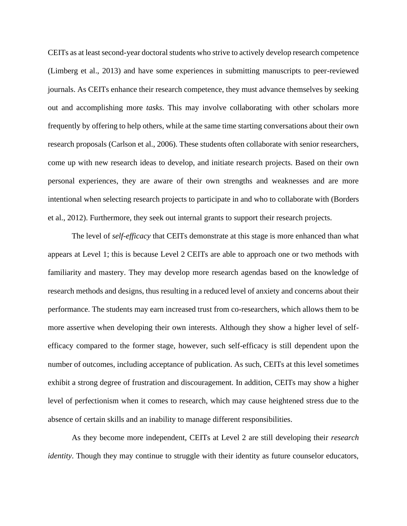CEITs as at least second-year doctoral students who strive to actively develop research competence (Limberg et al., 2013) and have some experiences in submitting manuscripts to peer-reviewed journals. As CEITs enhance their research competence, they must advance themselves by seeking out and accomplishing more *tasks*. This may involve collaborating with other scholars more frequently by offering to help others, while at the same time starting conversations about their own research proposals (Carlson et al., 2006). These students often collaborate with senior researchers, come up with new research ideas to develop, and initiate research projects. Based on their own personal experiences, they are aware of their own strengths and weaknesses and are more intentional when selecting research projects to participate in and who to collaborate with (Borders et al., 2012). Furthermore, they seek out internal grants to support their research projects.

The level of *self-efficacy* that CEITs demonstrate at this stage is more enhanced than what appears at Level 1; this is because Level 2 CEITs are able to approach one or two methods with familiarity and mastery. They may develop more research agendas based on the knowledge of research methods and designs, thus resulting in a reduced level of anxiety and concerns about their performance. The students may earn increased trust from co-researchers, which allows them to be more assertive when developing their own interests. Although they show a higher level of selfefficacy compared to the former stage, however, such self-efficacy is still dependent upon the number of outcomes, including acceptance of publication. As such, CEITs at this level sometimes exhibit a strong degree of frustration and discouragement. In addition, CEITs may show a higher level of perfectionism when it comes to research, which may cause heightened stress due to the absence of certain skills and an inability to manage different responsibilities.

As they become more independent, CEITs at Level 2 are still developing their *research identity*. Though they may continue to struggle with their identity as future counselor educators,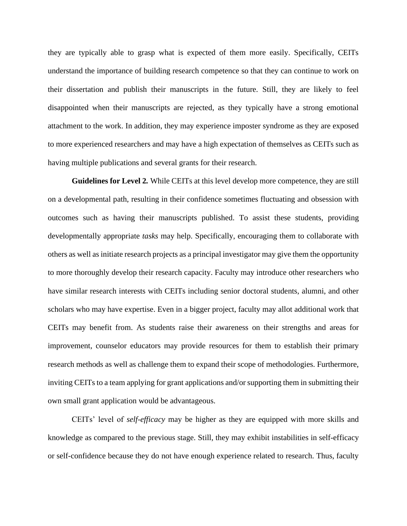they are typically able to grasp what is expected of them more easily. Specifically, CEITs understand the importance of building research competence so that they can continue to work on their dissertation and publish their manuscripts in the future. Still, they are likely to feel disappointed when their manuscripts are rejected, as they typically have a strong emotional attachment to the work. In addition, they may experience imposter syndrome as they are exposed to more experienced researchers and may have a high expectation of themselves as CEITs such as having multiple publications and several grants for their research.

**Guidelines for Level 2***.* While CEITs at this level develop more competence, they are still on a developmental path, resulting in their confidence sometimes fluctuating and obsession with outcomes such as having their manuscripts published. To assist these students, providing developmentally appropriate *tasks* may help. Specifically, encouraging them to collaborate with others as well as initiate research projects as a principal investigator may give them the opportunity to more thoroughly develop their research capacity. Faculty may introduce other researchers who have similar research interests with CEITs including senior doctoral students, alumni, and other scholars who may have expertise. Even in a bigger project, faculty may allot additional work that CEITs may benefit from. As students raise their awareness on their strengths and areas for improvement, counselor educators may provide resources for them to establish their primary research methods as well as challenge them to expand their scope of methodologies. Furthermore, inviting CEITs to a team applying for grant applications and/or supporting them in submitting their own small grant application would be advantageous.

CEITs' level of *self-efficacy* may be higher as they are equipped with more skills and knowledge as compared to the previous stage. Still, they may exhibit instabilities in self-efficacy or self-confidence because they do not have enough experience related to research. Thus, faculty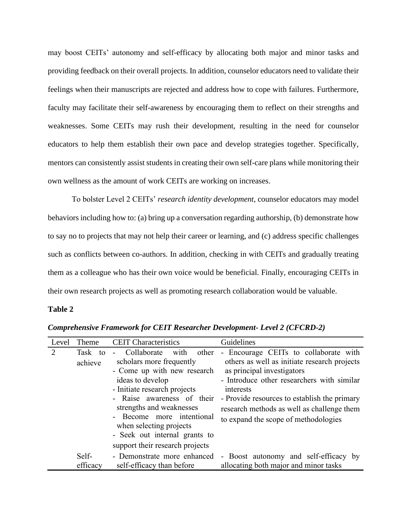may boost CEITs' autonomy and self-efficacy by allocating both major and minor tasks and providing feedback on their overall projects. In addition, counselor educators need to validate their feelings when their manuscripts are rejected and address how to cope with failures. Furthermore, faculty may facilitate their self-awareness by encouraging them to reflect on their strengths and weaknesses. Some CEITs may rush their development, resulting in the need for counselor educators to help them establish their own pace and develop strategies together. Specifically, mentors can consistently assist students in creating their own self-care plans while monitoring their own wellness as the amount of work CEITs are working on increases.

To bolster Level 2 CEITs' *research identity development*, counselor educators may model behaviors including how to: (a) bring up a conversation regarding authorship, (b) demonstrate how to say no to projects that may not help their career or learning, and (c) address specific challenges such as conflicts between co-authors. In addition, checking in with CEITs and gradually treating them as a colleague who has their own voice would be beneficial. Finally, encouraging CEITs in their own research projects as well as promoting research collaboration would be valuable.

#### **Table 2**

| Level | Theme              | <b>CEIT</b> Characteristics                                                                                                                                                                                                                                                                                                       | Guidelines                                                                                                                                                                                                                                                                                                                                     |
|-------|--------------------|-----------------------------------------------------------------------------------------------------------------------------------------------------------------------------------------------------------------------------------------------------------------------------------------------------------------------------------|------------------------------------------------------------------------------------------------------------------------------------------------------------------------------------------------------------------------------------------------------------------------------------------------------------------------------------------------|
| 2     | Task to<br>achieve | Collaborate<br>with<br>other<br>scholars more frequently<br>- Come up with new research<br>ideas to develop<br>- Initiate research projects<br>- Raise awareness of their<br>strengths and weaknesses<br>- Become more intentional<br>when selecting projects<br>- Seek out internal grants to<br>support their research projects | Encourage CEITs to collaborate with<br>$\overline{\phantom{0}}$<br>others as well as initiate research projects<br>as principal investigators<br>- Introduce other researchers with similar<br>interests<br>- Provide resources to establish the primary<br>research methods as well as challenge them<br>to expand the scope of methodologies |
|       | Self-<br>efficacy  | - Demonstrate more enhanced<br>self-efficacy than before                                                                                                                                                                                                                                                                          | - Boost autonomy and self-efficacy by<br>allocating both major and minor tasks                                                                                                                                                                                                                                                                 |

*Comprehensive Framework for CEIT Researcher Development- Level 2 (CFCRD-2)*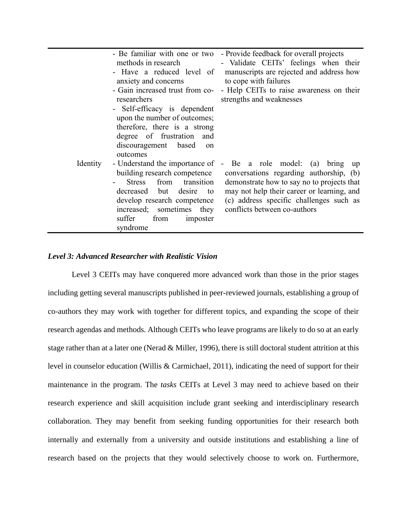|          | - Be familiar with one or two<br>methods in research<br>- Have a reduced level of<br>anxiety and concerns<br>- Gain increased trust from co-<br>researchers<br>- Self-efficacy is dependent<br>upon the number of outcomes;<br>therefore, there is a strong<br>degree of frustration and<br>discouragement based<br>on<br>outcomes | - Provide feedback for overall projects<br>- Validate CEITs' feelings when their<br>manuscripts are rejected and address how<br>to cope with failures<br>- Help CEITs to raise awareness on their<br>strengths and weaknesses                                                    |
|----------|------------------------------------------------------------------------------------------------------------------------------------------------------------------------------------------------------------------------------------------------------------------------------------------------------------------------------------|----------------------------------------------------------------------------------------------------------------------------------------------------------------------------------------------------------------------------------------------------------------------------------|
| Identity | building research competence<br>from<br>transition<br><b>Stress</b><br>decreased but desire<br>to<br>develop research competence<br>increased; sometimes they<br>suffer<br>from<br>imposter<br>syndrome                                                                                                                            | - Understand the importance of - Be a role model: (a) bring up<br>conversations regarding authorship, (b)<br>demonstrate how to say no to projects that<br>may not help their career or learning, and<br>(c) address specific challenges such as<br>conflicts between co-authors |

# *Level 3: Advanced Researcher with Realistic Vision*

Level 3 CEITs may have conquered more advanced work than those in the prior stages including getting several manuscripts published in peer-reviewed journals, establishing a group of co-authors they may work with together for different topics, and expanding the scope of their research agendas and methods. Although CEITs who leave programs are likely to do so at an early stage rather than at a later one (Nerad & Miller, 1996), there is still doctoral student attrition at this level in counselor education (Willis & Carmichael, 2011), indicating the need of support for their maintenance in the program. The *tasks* CEITs at Level 3 may need to achieve based on their research experience and skill acquisition include grant seeking and interdisciplinary research collaboration. They may benefit from seeking funding opportunities for their research both internally and externally from a university and outside institutions and establishing a line of research based on the projects that they would selectively choose to work on. Furthermore,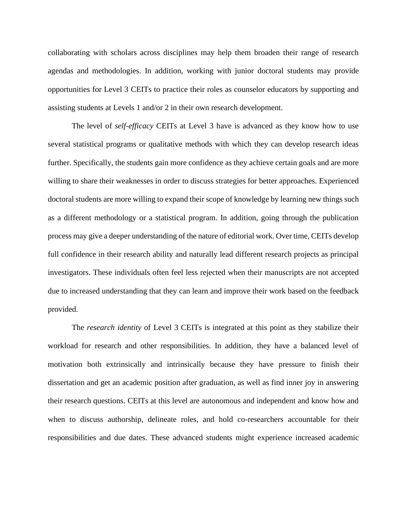collaborating with scholars across disciplines may help them broaden their range of research agendas and methodologies. In addition, working with junior doctoral students may provide opportunities for Level 3 CEITs to practice their roles as counselor educators by supporting and assisting students at Levels 1 and/or 2 in their own research development.

The level of *self-efficacy* CEITs at Level 3 have is advanced as they know how to use several statistical programs or qualitative methods with which they can develop research ideas further. Specifically, the students gain more confidence as they achieve certain goals and are more willing to share their weaknesses in order to discuss strategies for better approaches. Experienced doctoral students are more willing to expand their scope of knowledge by learning new things such as a different methodology or a statistical program. In addition, going through the publication process may give a deeper understanding of the nature of editorial work. Over time, CEITs develop full confidence in their research ability and naturally lead different research projects as principal investigators. These individuals often feel less rejected when their manuscripts are not accepted due to increased understanding that they can learn and improve their work based on the feedback provided.

The *research identity* of Level 3 CEITs is integrated at this point as they stabilize their workload for research and other responsibilities. In addition, they have a balanced level of motivation both extrinsically and intrinsically because they have pressure to finish their dissertation and get an academic position after graduation, as well as find inner joy in answering their research questions. CEITs at this level are autonomous and independent and know how and when to discuss authorship, delineate roles, and hold co-researchers accountable for their responsibilities and due dates. These advanced students might experience increased academic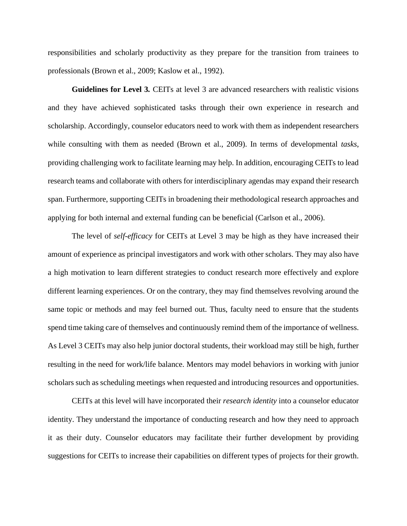responsibilities and scholarly productivity as they prepare for the transition from trainees to professionals (Brown et al., 2009; Kaslow et al., 1992).

**Guidelines for Level 3***.* CEITs at level 3 are advanced researchers with realistic visions and they have achieved sophisticated tasks through their own experience in research and scholarship. Accordingly, counselor educators need to work with them as independent researchers while consulting with them as needed (Brown et al., 2009). In terms of developmental *tasks*, providing challenging work to facilitate learning may help. In addition, encouraging CEITs to lead research teams and collaborate with others for interdisciplinary agendas may expand their research span. Furthermore, supporting CEITs in broadening their methodological research approaches and applying for both internal and external funding can be beneficial (Carlson et al., 2006).

The level of *self-efficacy* for CEITs at Level 3 may be high as they have increased their amount of experience as principal investigators and work with other scholars. They may also have a high motivation to learn different strategies to conduct research more effectively and explore different learning experiences. Or on the contrary, they may find themselves revolving around the same topic or methods and may feel burned out. Thus, faculty need to ensure that the students spend time taking care of themselves and continuously remind them of the importance of wellness. As Level 3 CEITs may also help junior doctoral students, their workload may still be high, further resulting in the need for work/life balance. Mentors may model behaviors in working with junior scholars such as scheduling meetings when requested and introducing resources and opportunities.

CEITs at this level will have incorporated their *research identity* into a counselor educator identity. They understand the importance of conducting research and how they need to approach it as their duty. Counselor educators may facilitate their further development by providing suggestions for CEITs to increase their capabilities on different types of projects for their growth.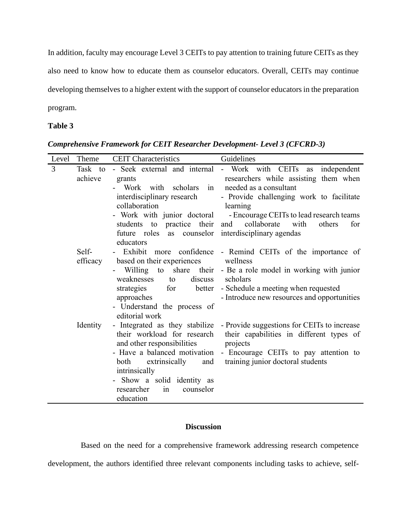In addition, faculty may encourage Level 3 CEITs to pay attention to training future CEITs as they also need to know how to educate them as counselor educators. Overall, CEITs may continue developing themselves to a higher extent with the support of counselor educators in the preparation program.

# **Table 3**

|   | Level Theme | <b>CEIT Characteristics</b> Guidelines                                                                                                                                                                                       |                                                                                                                                                                                                                                                                 |
|---|-------------|------------------------------------------------------------------------------------------------------------------------------------------------------------------------------------------------------------------------------|-----------------------------------------------------------------------------------------------------------------------------------------------------------------------------------------------------------------------------------------------------------------|
| 3 | achieve     | grants<br>Work with scholars in needed as a consultant<br>interdisciplinary research<br>collaboration<br>students to practice their and collaborate with<br>future roles as counselor interdisciplinary agendas<br>educators | Task to - Seek external and internal - Work with CEITs as independent<br>researchers while assisting them when<br>- Provide challenging work to facilitate<br>learning<br>- Work with junior doctoral - Encourage CEITs to lead research teams<br>others<br>for |
|   | Self-       | efficacy based on their experiences wellness<br>weaknesses<br>to<br>strategies<br>approaches<br>- Understand the process of<br>editorial work                                                                                | - Exhibit more confidence - Remind CEITs of the importance of<br>- Willing to share their - Be a role model in working with junior<br>discuss scholars<br>for better - Schedule a meeting when requested<br>- Introduce new resources and opportunities         |
|   | Identity    | their workload for research<br>and other responsibilities<br>and<br>extrinsically<br>both<br>intrinsically<br>- Show a solid identity as<br>counselor<br>researcher<br>in<br>education                                       | - Integrated as they stabilize - Provide suggestions for CEITs to increase<br>their capabilities in different types of<br>projects<br>- Have a balanced motivation - Encourage CEITs to pay attention to<br>training junior doctoral students                   |

*Comprehensive Framework for CEIT Researcher Development- Level 3 (CFCRD-3)*

# **Discussion**

Based on the need for a comprehensive framework addressing research competence

development, the authors identified three relevant components including tasks to achieve, self-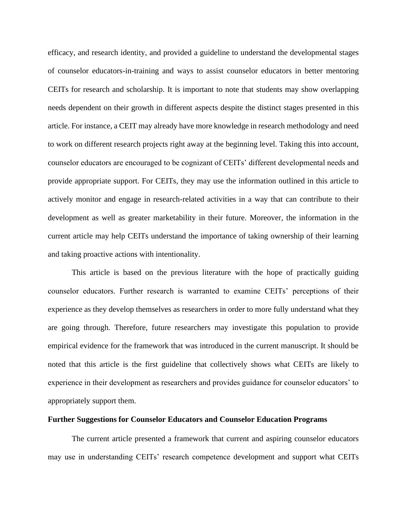efficacy, and research identity, and provided a guideline to understand the developmental stages of counselor educators-in-training and ways to assist counselor educators in better mentoring CEITs for research and scholarship. It is important to note that students may show overlapping needs dependent on their growth in different aspects despite the distinct stages presented in this article. For instance, a CEIT may already have more knowledge in research methodology and need to work on different research projects right away at the beginning level. Taking this into account, counselor educators are encouraged to be cognizant of CEITs' different developmental needs and provide appropriate support. For CEITs, they may use the information outlined in this article to actively monitor and engage in research-related activities in a way that can contribute to their development as well as greater marketability in their future. Moreover, the information in the current article may help CEITs understand the importance of taking ownership of their learning and taking proactive actions with intentionality.

This article is based on the previous literature with the hope of practically guiding counselor educators. Further research is warranted to examine CEITs' perceptions of their experience as they develop themselves as researchers in order to more fully understand what they are going through. Therefore, future researchers may investigate this population to provide empirical evidence for the framework that was introduced in the current manuscript. It should be noted that this article is the first guideline that collectively shows what CEITs are likely to experience in their development as researchers and provides guidance for counselor educators' to appropriately support them.

#### **Further Suggestions for Counselor Educators and Counselor Education Programs**

The current article presented a framework that current and aspiring counselor educators may use in understanding CEITs' research competence development and support what CEITs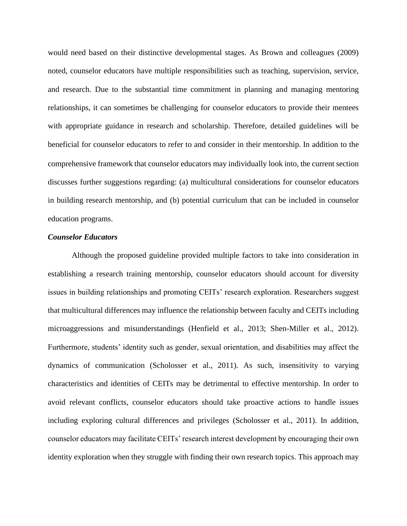would need based on their distinctive developmental stages. As Brown and colleagues (2009) noted, counselor educators have multiple responsibilities such as teaching, supervision, service, and research. Due to the substantial time commitment in planning and managing mentoring relationships, it can sometimes be challenging for counselor educators to provide their mentees with appropriate guidance in research and scholarship. Therefore, detailed guidelines will be beneficial for counselor educators to refer to and consider in their mentorship. In addition to the comprehensive framework that counselor educators may individually look into, the current section discusses further suggestions regarding: (a) multicultural considerations for counselor educators in building research mentorship, and (b) potential curriculum that can be included in counselor education programs.

#### *Counselor Educators*

Although the proposed guideline provided multiple factors to take into consideration in establishing a research training mentorship, counselor educators should account for diversity issues in building relationships and promoting CEITs' research exploration. Researchers suggest that multicultural differences may influence the relationship between faculty and CEITs including microaggressions and misunderstandings (Henfield et al., 2013; Shen-Miller et al., 2012). Furthermore, students' identity such as gender, sexual orientation, and disabilities may affect the dynamics of communication (Scholosser et al., 2011). As such, insensitivity to varying characteristics and identities of CEITs may be detrimental to effective mentorship. In order to avoid relevant conflicts, counselor educators should take proactive actions to handle issues including exploring cultural differences and privileges (Scholosser et al., 2011). In addition, counselor educators may facilitate CEITs' research interest development by encouraging their own identity exploration when they struggle with finding their own research topics. This approach may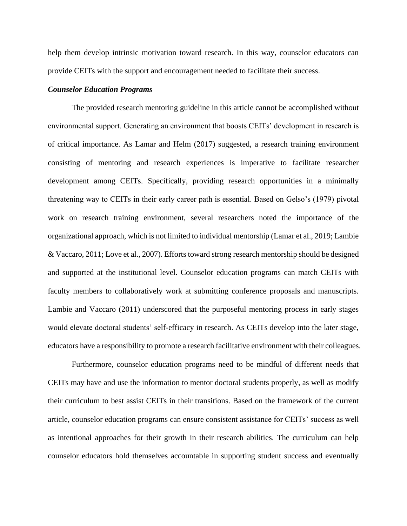help them develop intrinsic motivation toward research. In this way, counselor educators can provide CEITs with the support and encouragement needed to facilitate their success.

#### *Counselor Education Programs*

The provided research mentoring guideline in this article cannot be accomplished without environmental support. Generating an environment that boosts CEITs' development in research is of critical importance. As Lamar and Helm (2017) suggested, a research training environment consisting of mentoring and research experiences is imperative to facilitate researcher development among CEITs. Specifically, providing research opportunities in a minimally threatening way to CEITs in their early career path is essential. Based on Gelso's (1979) pivotal work on research training environment, several researchers noted the importance of the organizational approach, which is not limited to individual mentorship (Lamar et al., 2019; Lambie & Vaccaro, 2011; Love et al., 2007). Efforts toward strong research mentorship should be designed and supported at the institutional level. Counselor education programs can match CEITs with faculty members to collaboratively work at submitting conference proposals and manuscripts. Lambie and Vaccaro (2011) underscored that the purposeful mentoring process in early stages would elevate doctoral students' self-efficacy in research. As CEITs develop into the later stage, educators have a responsibility to promote a research facilitative environment with their colleagues.

Furthermore, counselor education programs need to be mindful of different needs that CEITs may have and use the information to mentor doctoral students properly, as well as modify their curriculum to best assist CEITs in their transitions. Based on the framework of the current article, counselor education programs can ensure consistent assistance for CEITs' success as well as intentional approaches for their growth in their research abilities. The curriculum can help counselor educators hold themselves accountable in supporting student success and eventually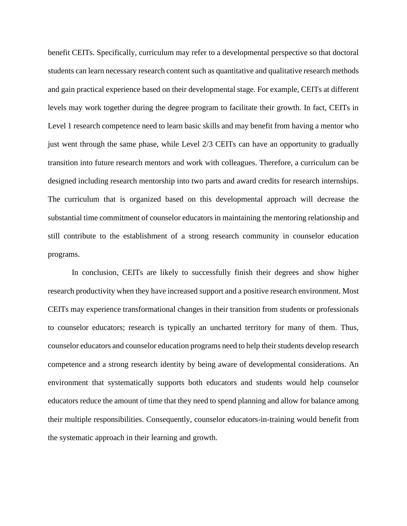benefit CEITs. Specifically, curriculum may refer to a developmental perspective so that doctoral students can learn necessary research content such as quantitative and qualitative research methods and gain practical experience based on their developmental stage. For example, CEITs at different levels may work together during the degree program to facilitate their growth. In fact, CEITs in Level 1 research competence need to learn basic skills and may benefit from having a mentor who just went through the same phase, while Level 2/3 CEITs can have an opportunity to gradually transition into future research mentors and work with colleagues. Therefore, a curriculum can be designed including research mentorship into two parts and award credits for research internships. The curriculum that is organized based on this developmental approach will decrease the substantial time commitment of counselor educators in maintaining the mentoring relationship and still contribute to the establishment of a strong research community in counselor education programs.

In conclusion, CEITs are likely to successfully finish their degrees and show higher research productivity when they have increased support and a positive research environment. Most CEITs may experience transformational changes in their transition from students or professionals to counselor educators; research is typically an uncharted territory for many of them. Thus, counselor educators and counselor education programs need to help their students develop research competence and a strong research identity by being aware of developmental considerations. An environment that systematically supports both educators and students would help counselor educators reduce the amount of time that they need to spend planning and allow for balance among their multiple responsibilities. Consequently, counselor educators-in-training would benefit from the systematic approach in their learning and growth.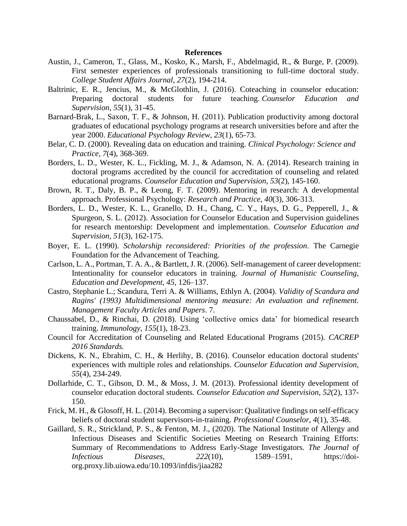#### **References**

- Austin, J., Cameron, T., Glass, M., Kosko, K., Marsh, F., Abdelmagid, R., & Burge, P. (2009). First semester experiences of professionals transitioning to full-time doctoral study. *College Student Affairs Journal, 27*(2), 194-214.
- Baltrinic, E. R., Jencius, M., & McGlothlin, J. (2016). Coteaching in counselor education: Preparing doctoral students for future teaching. *Counselor Education and Supervision*, *55*(1), 31-45.
- Barnard-Brak, L., Saxon, T. F., & Johnson, H. (2011). Publication productivity among doctoral graduates of educational psychology programs at research universities before and after the year 2000. *Educational Psychology Review, 23*(1), 65-73.
- Belar, C. D. (2000). Revealing data on education and training. *Clinical Psychology: Science and Practice, 7*(4), 368-369.
- Borders, L. D., Wester, K. L., Fickling, M. J., & Adamson, N. A. (2014). Research training in doctoral programs accredited by the council for accreditation of counseling and related educational programs. *Counselor Education and Supervision, 53*(2), 145-160.
- Brown, R. T., Daly, B. P., & Leong, F. T. (2009). Mentoring in research: A developmental approach. Professional Psychology: *Research and Practice, 40*(3), 306-313.
- Borders, L. D., Wester, K. L., Granello, D. H., Chang, C. Y., Hays, D. G., Pepperell, J., & Spurgeon, S. L. (2012). Association for Counselor Education and Supervision guidelines for research mentorship: Development and implementation. *Counselor Education and Supervision, 51*(3), 162-175.
- Boyer, E. L. (1990). *Scholarship reconsidered: Priorities of the profession*. The Carnegie Foundation for the Advancement of Teaching.
- Carlson, L. A., Portman, T. A. A., & Bartlett, J. R. (2006). Self-management of career development: Intentionality for counselor educators in training. *Journal of Humanistic Counseling, Education and Development, 45*, 126–137.
- Castro, Stephanie L.; Scandura, Terri A. & Williams, Ethlyn A. (2004). *Validity of Scandura and Ragins' (1993) Multidimensional mentoring measure: An evaluation and refinement. Management Faculty Articles and Papers*. 7.
- Chaussabel, D., & Rinchai, D. (2018). Using 'collective omics data' for biomedical research training. *Immunology, 155*(1), 18-23.
- Council for Accreditation of Counseling and Related Educational Programs (2015). *CACREP 2016 Standards.*
- Dickens, K. N., Ebrahim, C. H., & Herlihy, B. (2016). Counselor education doctoral students' experiences with multiple roles and relationships. *Counselor Education and Supervision, 55*(4), 234-249.
- Dollarhide, C. T., Gibson, D. M., & Moss, J. M. (2013). Professional identity development of counselor education doctoral students. *Counselor Education and Supervision, 52*(2), 137- 150.
- Frick, M. H., & Glosoff, H. L. (2014). Becoming a supervisor: Qualitative findings on self-efficacy beliefs of doctoral student supervisors-in-training. *Professional Counselor, 4*(1), 35-48.
- Gaillard, S. R., Strickland, P. S., & Fenton, M. J., (2020). The National Institute of Allergy and Infectious Diseases and Scientific Societies Meeting on Research Training Efforts: Summary of Recommendations to Address Early-Stage Investigators. *The Journal of Infectious Diseases, 222*(10), 1589–1591, https://doiorg.proxy.lib.uiowa.edu/10.1093/infdis/jiaa282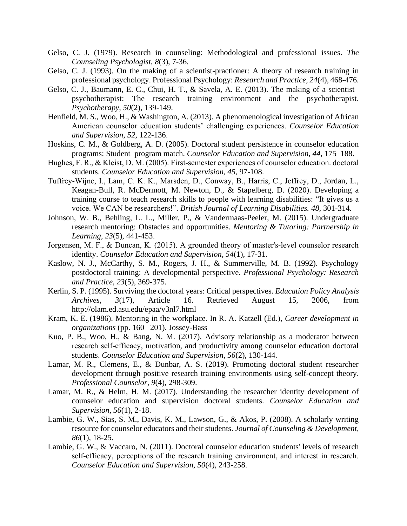- Gelso, C. J. (1979). Research in counseling: Methodological and professional issues. *The Counseling Psychologist, 8*(3), 7-36.
- Gelso, C. J. (1993). On the making of a scientist-practioner: A theory of research training in professional psychology. Professional Psychology: *Research and Practice, 24*(4), 468-476.
- Gelso, C. J., Baumann, E. C., Chui, H. T., & Savela, A. E. (2013). The making of a scientist– psychotherapist: The research training environment and the psychotherapist. *Psychotherapy, 50*(2), 139-149.
- Henfield, M. S., Woo, H., & Washington, A. (2013). A phenomenological investigation of African American counselor education students' challenging experiences. *Counselor Education and Supervision, 52,* 122-136.
- Hoskins, C. M., & Goldberg, A. D. (2005). Doctoral student persistence in counselor education programs: Student–program match. *Counselor Education and Supervision, 44*, 175–188.
- Hughes, F. R., & Kleist, D. M. (2005). First-semester experiences of counselor education. doctoral students. *Counselor Education and Supervision, 45*, 97-108.
- Tuffrey‐Wijne, I., Lam, C. K. K., Marsden, D., Conway, B., Harris, C., Jeffrey, D., Jordan, L., Keagan-Bull, R. McDermott, M. Newton, D., & Stapelberg, D. (2020). Developing a training course to teach research skills to people with learning disabilities: "It gives us a voice. We CAN be researchers!". *British Journal of Learning Disabilities. 48,* 301-314*.*
- Johnson, W. B., Behling, L. L., Miller, P., & Vandermaas-Peeler, M. (2015). Undergraduate research mentoring: Obstacles and opportunities. *Mentoring & Tutoring: Partnership in Learning, 23*(5), 441-453.
- Jorgensen, M. F., & Duncan, K. (2015). A grounded theory of master's‐level counselor research identity. *Counselor Education and Supervision, 54*(1), 17-31.
- Kaslow, N. J., McCarthy, S. M., Rogers, J. H., & Summerville, M. B. (1992). Psychology postdoctoral training: A developmental perspective. *Professional Psychology: Research and Practice, 23*(5), 369-375.
- Kerlin, S. P. (1995). Surviving the doctoral years: Critical perspectives. *Education Policy Analysis Archives, 3*(17), Article 16. Retrieved August 15, 2006, from <http://olam.ed.asu.edu/epaa/v3nl7.html>
- Kram, K. E. (1986). Mentoring in the workplace. In R. A. Katzell (Ed.), *Career development in organizations* (pp. 160 –201). Jossey-Bass
- Kuo, P. B., Woo, H., & Bang, N. M. (2017). Advisory relationship as a moderator between research self‐efficacy, motivation, and productivity among counselor education doctoral students. *Counselor Education and Supervision, 56*(2), 130-144.
- Lamar, M. R., Clemens, E., & Dunbar, A. S. (2019). Promoting doctoral student researcher development through positive research training environments using self-concept theory. *Professional Counselor, 9*(4), 298-309.
- Lamar, M. R., & Helm, H. M. (2017). Understanding the researcher identity development of counselor education and supervision doctoral students*. Counselor Education and Supervision, 56*(1), 2-18.
- Lambie, G. W., Sias, S. M., Davis, K. M., Lawson, G., & Akos, P. (2008). A scholarly writing resource for counselor educators and their students. *Journal of Counseling & Development, 86*(1), 18-25.
- Lambie, G. W., & Vaccaro, N. (2011). Doctoral counselor education students' levels of research self-efficacy, perceptions of the research training environment, and interest in research. *Counselor Education and Supervision, 50*(4), 243-258.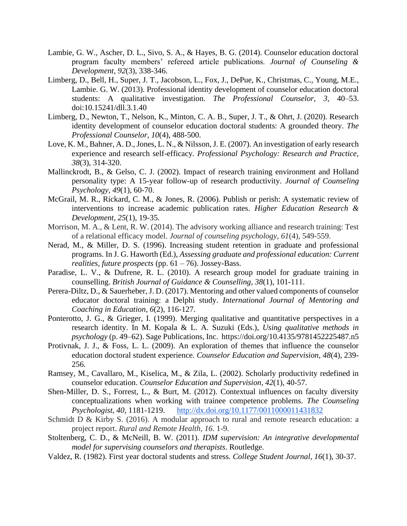- Lambie, G. W., Ascher, D. L., Sivo, S. A., & Hayes, B. G. (2014). Counselor education doctoral program faculty members' refereed article publications. *Journal of Counseling & Development, 92*(3), 338-346.
- Limberg, D., Bell, H., Super, J. T., Jacobson, L., Fox, J., DePue, K., Christmas, C., Young, M.E., Lambie. G. W. (2013). Professional identity development of counselor education doctoral students: A qualitative investigation. *The Professional Counselor, 3*, 40–53. doi:10.15241/dll.3.1.40
- Limberg, D., Newton, T., Nelson, K., Minton, C. A. B., Super, J. T., & Ohrt, J. (2020). Research identity development of counselor education doctoral students: A grounded theory. *The Professional Counselor, 10*(4), 488-500.
- Love, K. M., Bahner, A. D., Jones, L. N., & Nilsson, J. E. (2007). An investigation of early research experience and research self-efficacy*. Professional Psychology: Research and Practice, 38*(3), 314-320.
- Mallinckrodt, B., & Gelso, C. J. (2002). Impact of research training environment and Holland personality type: A 15-year follow-up of research productivity. *Journal of Counseling Psychology, 49*(1), 60-70.
- McGrail, M. R., Rickard, C. M., & Jones, R. (2006). Publish or perish: A systematic review of interventions to increase academic publication rates. *Higher Education Research & Development, 25*(1), 19-35.
- Morrison, M. A., & Lent, R. W. (2014). The advisory working alliance and research training: Test of a relational efficacy model. *Journal of counseling psychology*, *61*(4), 549-559.
- Nerad, M., & Miller, D. S. (1996). Increasing student retention in graduate and professional programs. In J. G. Haworth (Ed.), *Assessing graduate and professional education: Current realities, future prospects* (pp. 61 – 76). Jossey-Bass.
- Paradise, L. V., & Dufrene, R. L. (2010). A research group model for graduate training in counselling. *British Journal of Guidance & Counselling, 38*(1), 101-111.
- Perera-Diltz, D., & Sauerheber, J. D. (2017). Mentoring and other valued components of counselor educator doctoral training: a Delphi study. *International Journal of Mentoring and Coaching in Education, 6*(2), 116-127.
- Ponterotto, J. G., & Grieger, I. (1999). Merging qualitative and quantitative perspectives in a research identity. In M. Kopala & L. A. Suzuki (Eds.), *Using qualitative methods in psychology* (p. 49–62). Sage Publications, Inc. https://doi.org/10.4135/9781452225487.n5
- Protivnak, J. J., & Foss, L. L. (2009). An exploration of themes that influence the counselor education doctoral student experience. *Counselor Education and Supervision, 48*(4), 239- 256.
- Ramsey, M., Cavallaro, M., Kiselica, M., & Zila, L. (2002). Scholarly productivity redefined in counselor education. *Counselor Education and Supervision, 42*(1), 40-57.
- Shen-Miller, D. S., Forrest, L., & Burt, M. (2012). Contextual influences on faculty diversity conceptualizations when working with trainee competence problems. *The Counseling Psychologist, 40*, 1181-1219. <http://dx.doi.org/10.1177/0011000011431832>
- Schmidt D & Kirby S. (2016). A modular approach to rural and remote research education: a project report. *Rural and Remote Health, 16*. 1-9.
- Stoltenberg, C. D., & McNeill, B. W. (2011). *IDM supervision: An integrative developmental model for supervising counselors and therapists*. Routledge.
- Valdez, R. (1982). First year doctoral students and stress*. College Student Journal, 16*(1), 30-37.